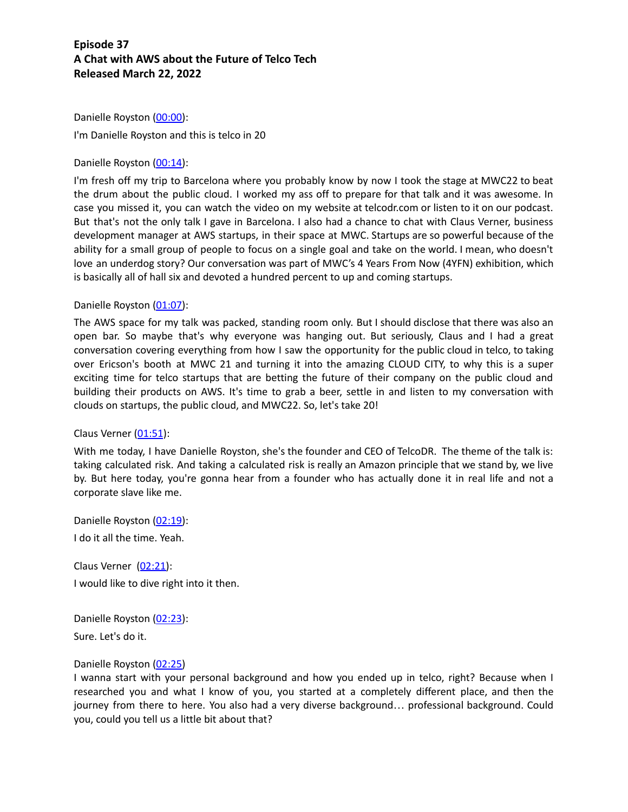Danielle Royston (00:00): I'm Danielle Royston and this is telco in 20

### Danielle Royston (00:14):

I'm fresh off my trip to Barcelona where you probably know by now I took the stage at MWC22 to beat the drum about the public cloud. I worked my ass off to prepare for that talk and it was awesome. In case you missed it, you can watch the video on my website at telcodr.com or listen to it on our podcast. But that's not the only talk I gave in Barcelona. I also had a chance to chat with Claus Verner, business development manager at AWS startups, in their space at MWC. Startups are so powerful because of the ability for a small group of people to focus on a single goal and take on the world. I mean, who doesn't love an underdog story? Our conversation was part of MWC's 4 Years From Now (4YFN) exhibition, which is basically all of hall six and devoted a hundred percent to up and coming startups.

### Danielle Royston (01:07):

The AWS space for my talk was packed, standing room only. But I should disclose that there was also an open bar. So maybe that's why everyone was hanging out. But seriously, Claus and I had a great conversation covering everything from how I saw the opportunity for the public cloud in telco, to taking over Ericson's booth at MWC 21 and turning it into the amazing CLOUD CITY, to why this is a super exciting time for telco startups that are betting the future of their company on the public cloud and building their products on AWS. It's time to grab a beer, settle in and listen to my conversation with clouds on startups, the public cloud, and MWC22. So, let's take 20!

### Claus Verner (01:51):

With me today, I have Danielle Royston, she's the founder and CEO of TelcoDR. The theme of the talk is: taking calculated risk. And taking a calculated risk is really an Amazon principle that we stand by, we live by. But here today, you're gonna hear from a founder who has actually done it in real life and not a corporate slave like me.

Danielle Royston (02:19): I do it all the time. Yeah.

Claus Verner (02:21): I would like to dive right into it then.

Danielle Royston (02:23):

Sure. Let's do it.

#### Danielle Royston (02:25)

I wanna start with your personal background and how you ended up in telco, right? Because when I researched you and what I know of you, you started at a completely different place, and then the journey from there to here. You also had a very diverse background… professional background. Could you, could you tell us a little bit about that?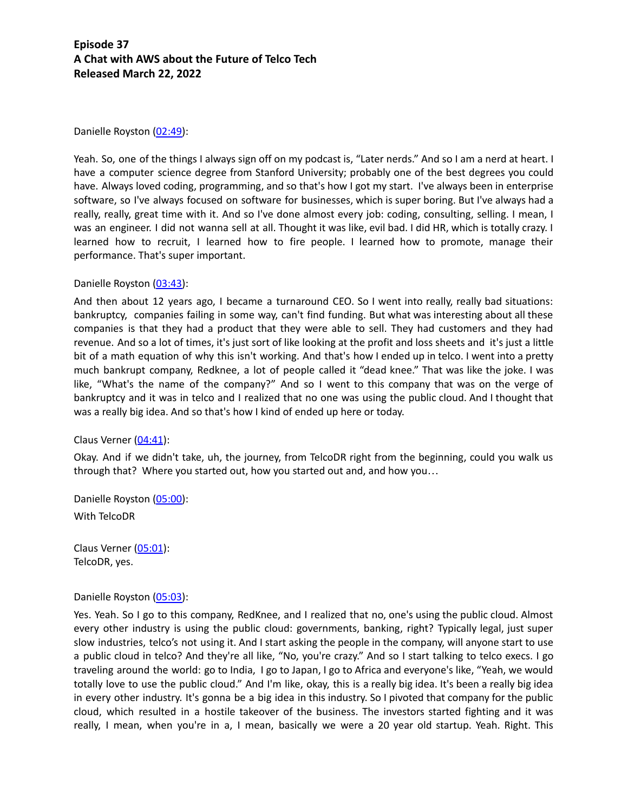Danielle Royston (02:49):

Yeah. So, one of the things I always sign off on my podcast is, "Later nerds." And so I am a nerd at heart. I have a computer science degree from Stanford University; probably one of the best degrees you could have. Always loved coding, programming, and so that's how I got my start. I've always been in enterprise software, so I've always focused on software for businesses, which is super boring. But I've always had a really, really, great time with it. And so I've done almost every job: coding, consulting, selling. I mean, I was an engineer. I did not wanna sell at all. Thought it was like, evil bad. I did HR, which is totally crazy. I learned how to recruit, I learned how to fire people. I learned how to promote, manage their performance. That's super important.

Danielle Royston (03:43):

And then about 12 years ago, I became a turnaround CEO. So I went into really, really bad situations: bankruptcy, companies failing in some way, can't find funding. But what was interesting about all these companies is that they had a product that they were able to sell. They had customers and they had revenue. And so a lot of times, it's just sort of like looking at the profit and loss sheets and it's just a little bit of a math equation of why this isn't working. And that's how I ended up in telco. I went into a pretty much bankrupt company, Redknee, a lot of people called it "dead knee." That was like the joke. I was like, "What's the name of the company?" And so I went to this company that was on the verge of bankruptcy and it was in telco and I realized that no one was using the public cloud. And I thought that was a really big idea. And so that's how I kind of ended up here or today.

Claus Verner (04:41):

Okay. And if we didn't take, uh, the journey, from TelcoDR right from the beginning, could you walk us through that? Where you started out, how you started out and, and how you…

Danielle Royston (05:00): With TelcoDR

Claus Verner (05:01): TelcoDR, yes.

Danielle Royston (05:03):

Yes. Yeah. So I go to this company, RedKnee, and I realized that no, one's using the public cloud. Almost every other industry is using the public cloud: governments, banking, right? Typically legal, just super slow industries, telco's not using it. And I start asking the people in the company, will anyone start to use a public cloud in telco? And they're all like, "No, you're crazy." And so I start talking to telco execs. I go traveling around the world: go to India, I go to Japan, I go to Africa and everyone's like, "Yeah, we would totally love to use the public cloud." And I'm like, okay, this is a really big idea. It's been a really big idea in every other industry. It's gonna be a big idea in this industry. So I pivoted that company for the public cloud, which resulted in a hostile takeover of the business. The investors started fighting and it was really, I mean, when you're in a, I mean, basically we were a 20 year old startup. Yeah. Right. This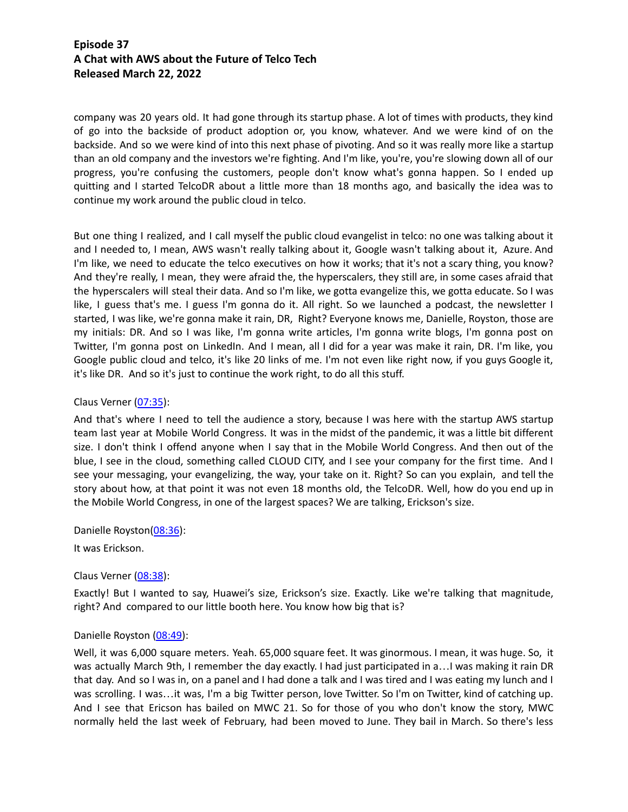company was 20 years old. It had gone through its startup phase. A lot of times with products, they kind of go into the backside of product adoption or, you know, whatever. And we were kind of on the backside. And so we were kind of into this next phase of pivoting. And so it was really more like a startup than an old company and the investors we're fighting. And I'm like, you're, you're slowing down all of our progress, you're confusing the customers, people don't know what's gonna happen. So I ended up quitting and I started TelcoDR about a little more than 18 months ago, and basically the idea was to continue my work around the public cloud in telco.

But one thing I realized, and I call myself the public cloud evangelist in telco: no one was talking about it and I needed to, I mean, AWS wasn't really talking about it, Google wasn't talking about it, Azure. And I'm like, we need to educate the telco executives on how it works; that it's not a scary thing, you know? And they're really, I mean, they were afraid the, the hyperscalers, they still are, in some cases afraid that the hyperscalers will steal their data. And so I'm like, we gotta evangelize this, we gotta educate. So I was like, I guess that's me. I guess I'm gonna do it. All right. So we launched a podcast, the newsletter I started, I was like, we're gonna make it rain, DR, Right? Everyone knows me, Danielle, Royston, those are my initials: DR. And so I was like, I'm gonna write articles, I'm gonna write blogs, I'm gonna post on Twitter, I'm gonna post on LinkedIn. And I mean, all I did for a year was make it rain, DR. I'm like, you Google public cloud and telco, it's like 20 links of me. I'm not even like right now, if you guys Google it, it's like DR. And so it's just to continue the work right, to do all this stuff.

#### Claus Verner (07:35):

And that's where I need to tell the audience a story, because I was here with the startup AWS startup team last year at Mobile World Congress. It was in the midst of the pandemic, it was a little bit different size. I don't think I offend anyone when I say that in the Mobile World Congress. And then out of the blue, I see in the cloud, something called CLOUD CITY, and I see your company for the first time. And I see your messaging, your evangelizing, the way, your take on it. Right? So can you explain, and tell the story about how, at that point it was not even 18 months old, the TelcoDR. Well, how do you end up in the Mobile World Congress, in one of the largest spaces? We are talking, Erickson's size.

Danielle Royston(08:36):

It was Erickson.

### Claus Verner (08:38):

Exactly! But I wanted to say, Huawei's size, Erickson's size. Exactly. Like we're talking that magnitude, right? And compared to our little booth here. You know how big that is?

### Danielle Royston (08:49):

Well, it was 6,000 square meters. Yeah. 65,000 square feet. It was ginormous. I mean, it was huge. So, it was actually March 9th, I remember the day exactly. I had just participated in a... I was making it rain DR that day. And so I was in, on a panel and I had done a talk and I was tired and I was eating my lunch and I was scrolling. I was…it was, I'm a big Twitter person, love Twitter. So I'm on Twitter, kind of catching up. And I see that Ericson has bailed on MWC 21. So for those of you who don't know the story, MWC normally held the last week of February, had been moved to June. They bail in March. So there's less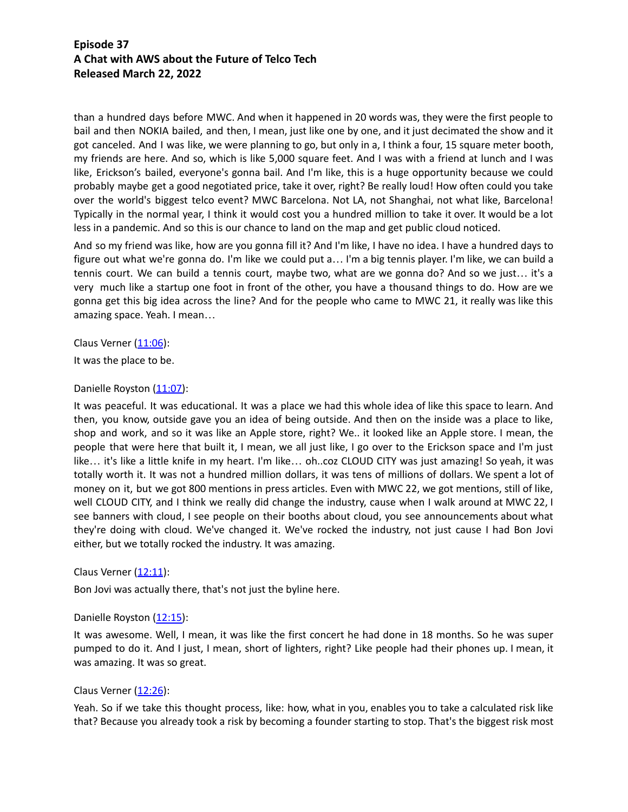than a hundred days before MWC. And when it happened in 20 words was, they were the first people to bail and then NOKIA bailed, and then, I mean, just like one by one, and it just decimated the show and it got canceled. And I was like, we were planning to go, but only in a, I think a four, 15 square meter booth, my friends are here. And so, which is like 5,000 square feet. And I was with a friend at lunch and I was like, Erickson's bailed, everyone's gonna bail. And I'm like, this is a huge opportunity because we could probably maybe get a good negotiated price, take it over, right? Be really loud! How often could you take over the world's biggest telco event? MWC Barcelona. Not LA, not Shanghai, not what like, Barcelona! Typically in the normal year, I think it would cost you a hundred million to take it over. It would be a lot less in a pandemic. And so this is our chance to land on the map and get public cloud noticed.

And so my friend was like, how are you gonna fill it? And I'm like, I have no idea. I have a hundred days to figure out what we're gonna do. I'm like we could put a… I'm a big tennis player. I'm like, we can build a tennis court. We can build a tennis court, maybe two, what are we gonna do? And so we just… it's a very much like a startup one foot in front of the other, you have a thousand things to do. How are we gonna get this big idea across the line? And for the people who came to MWC 21, it really was like this amazing space. Yeah. I mean…

Claus Verner  $(11:06)$ :

It was the place to be.

Danielle Royston (11:07):

It was peaceful. It was educational. It was a place we had this whole idea of like this space to learn. And then, you know, outside gave you an idea of being outside. And then on the inside was a place to like, shop and work, and so it was like an Apple store, right? We.. it looked like an Apple store. I mean, the people that were here that built it, I mean, we all just like, I go over to the Erickson space and I'm just like… it's like a little knife in my heart. I'm like… oh..coz CLOUD CITY was just amazing! So yeah, it was totally worth it. It was not a hundred million dollars, it was tens of millions of dollars. We spent a lot of money on it, but we got 800 mentions in press articles. Even with MWC 22, we got mentions, still of like, well CLOUD CITY, and I think we really did change the industry, cause when I walk around at MWC 22, I see banners with cloud, I see people on their booths about cloud, you see announcements about what they're doing with cloud. We've changed it. We've rocked the industry, not just cause I had Bon Jovi either, but we totally rocked the industry. It was amazing.

### Claus Verner  $(12:11)$ :

Bon Jovi was actually there, that's not just the byline here.

### Danielle Royston (12:15):

It was awesome. Well, I mean, it was like the first concert he had done in 18 months. So he was super pumped to do it. And I just, I mean, short of lighters, right? Like people had their phones up. I mean, it was amazing. It was so great.

### Claus Verner  $(12:26)$ :

Yeah. So if we take this thought process, like: how, what in you, enables you to take a calculated risk like that? Because you already took a risk by becoming a founder starting to stop. That's the biggest risk most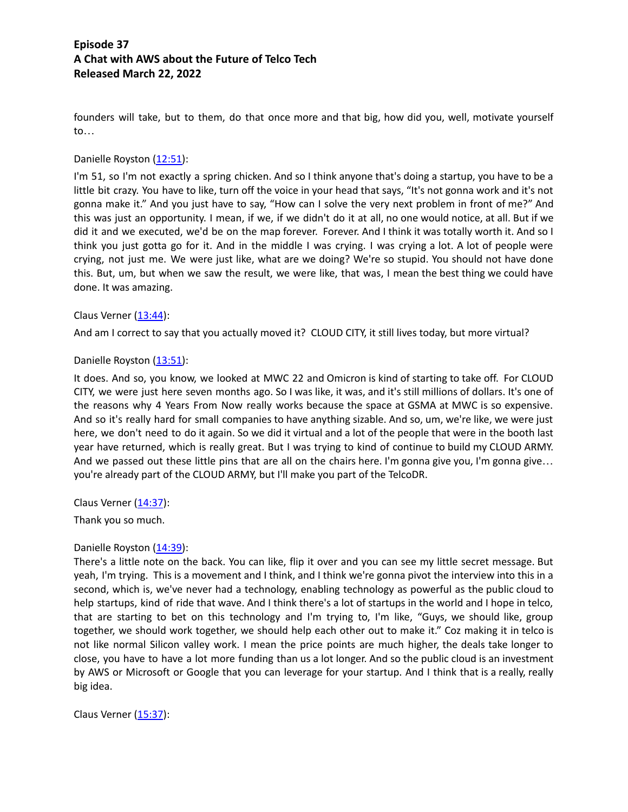founders will take, but to them, do that once more and that big, how did you, well, motivate yourself to…

#### Danielle Royston (12:51):

I'm 51, so I'm not exactly a spring chicken. And so I think anyone that's doing a startup, you have to be a little bit crazy. You have to like, turn off the voice in your head that says, "It's not gonna work and it's not gonna make it." And you just have to say, "How can I solve the very next problem in front of me?" And this was just an opportunity. I mean, if we, if we didn't do it at all, no one would notice, at all. But if we did it and we executed, we'd be on the map forever. Forever. And I think it was totally worth it. And so I think you just gotta go for it. And in the middle I was crying. I was crying a lot. A lot of people were crying, not just me. We were just like, what are we doing? We're so stupid. You should not have done this. But, um, but when we saw the result, we were like, that was, I mean the best thing we could have done. It was amazing.

#### Claus Verner  $(13:44)$ :

And am I correct to say that you actually moved it? CLOUD CITY, it still lives today, but more virtual?

#### Danielle Royston (13:51):

It does. And so, you know, we looked at MWC 22 and Omicron is kind of starting to take off. For CLOUD CITY, we were just here seven months ago. So I was like, it was, and it's still millions of dollars. It's one of the reasons why 4 Years From Now really works because the space at GSMA at MWC is so expensive. And so it's really hard for small companies to have anything sizable. And so, um, we're like, we were just here, we don't need to do it again. So we did it virtual and a lot of the people that were in the booth last year have returned, which is really great. But I was trying to kind of continue to build my CLOUD ARMY. And we passed out these little pins that are all on the chairs here. I'm gonna give you, I'm gonna give... you're already part of the CLOUD ARMY, but I'll make you part of the TelcoDR.

Claus Verner  $(14:37)$ :

Thank you so much.

### Danielle Royston (14:39):

There's a little note on the back. You can like, flip it over and you can see my little secret message. But yeah, I'm trying. This is a movement and I think, and I think we're gonna pivot the interview into this in a second, which is, we've never had a technology, enabling technology as powerful as the public cloud to help startups, kind of ride that wave. And I think there's a lot of startups in the world and I hope in telco, that are starting to bet on this technology and I'm trying to, I'm like, "Guys, we should like, group together, we should work together, we should help each other out to make it." Coz making it in telco is not like normal Silicon valley work. I mean the price points are much higher, the deals take longer to close, you have to have a lot more funding than us a lot longer. And so the public cloud is an investment by AWS or Microsoft or Google that you can leverage for your startup. And I think that is a really, really big idea.

Claus Verner  $(15:37)$ :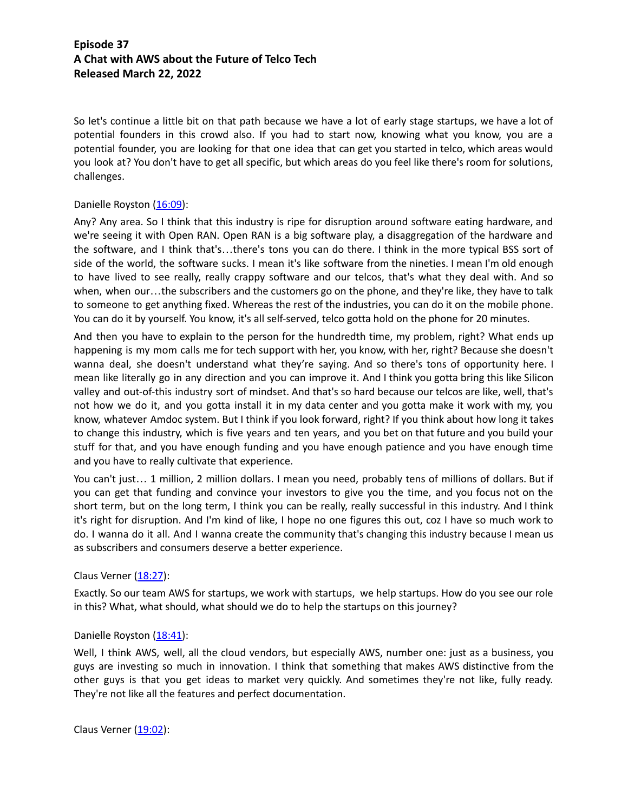So let's continue a little bit on that path because we have a lot of early stage startups, we have a lot of potential founders in this crowd also. If you had to start now, knowing what you know, you are a potential founder, you are looking for that one idea that can get you started in telco, which areas would you look at? You don't have to get all specific, but which areas do you feel like there's room for solutions, challenges.

### Danielle Royston (16:09):

Any? Any area. So I think that this industry is ripe for disruption around software eating hardware, and we're seeing it with Open RAN. Open RAN is a big software play, a disaggregation of the hardware and the software, and I think that's…there's tons you can do there. I think in the more typical BSS sort of side of the world, the software sucks. I mean it's like software from the nineties. I mean I'm old enough to have lived to see really, really crappy software and our telcos, that's what they deal with. And so when, when our…the subscribers and the customers go on the phone, and they're like, they have to talk to someone to get anything fixed. Whereas the rest of the industries, you can do it on the mobile phone. You can do it by yourself. You know, it's all self-served, telco gotta hold on the phone for 20 minutes.

And then you have to explain to the person for the hundredth time, my problem, right? What ends up happening is my mom calls me for tech support with her, you know, with her, right? Because she doesn't wanna deal, she doesn't understand what they're saying. And so there's tons of opportunity here. I mean like literally go in any direction and you can improve it. And I think you gotta bring this like Silicon valley and out-of-this industry sort of mindset. And that's so hard because our telcos are like, well, that's not how we do it, and you gotta install it in my data center and you gotta make it work with my, you know, whatever Amdoc system. But I think if you look forward, right? If you think about how long it takes to change this industry, which is five years and ten years, and you bet on that future and you build your stuff for that, and you have enough funding and you have enough patience and you have enough time and you have to really cultivate that experience.

You can't just… 1 million, 2 million dollars. I mean you need, probably tens of millions of dollars. But if you can get that funding and convince your investors to give you the time, and you focus not on the short term, but on the long term, I think you can be really, really successful in this industry. And I think it's right for disruption. And I'm kind of like, I hope no one figures this out, coz I have so much work to do. I wanna do it all. And I wanna create the community that's changing this industry because I mean us as subscribers and consumers deserve a better experience.

### Claus Verner  $(18:27)$ :

Exactly. So our team AWS for startups, we work with startups, we help startups. How do you see our role in this? What, what should, what should we do to help the startups on this journey?

#### Danielle Royston (18:41):

Well, I think AWS, well, all the cloud vendors, but especially AWS, number one: just as a business, you guys are investing so much in innovation. I think that something that makes AWS distinctive from the other guys is that you get ideas to market very quickly. And sometimes they're not like, fully ready. They're not like all the features and perfect documentation.

Claus Verner (19:02):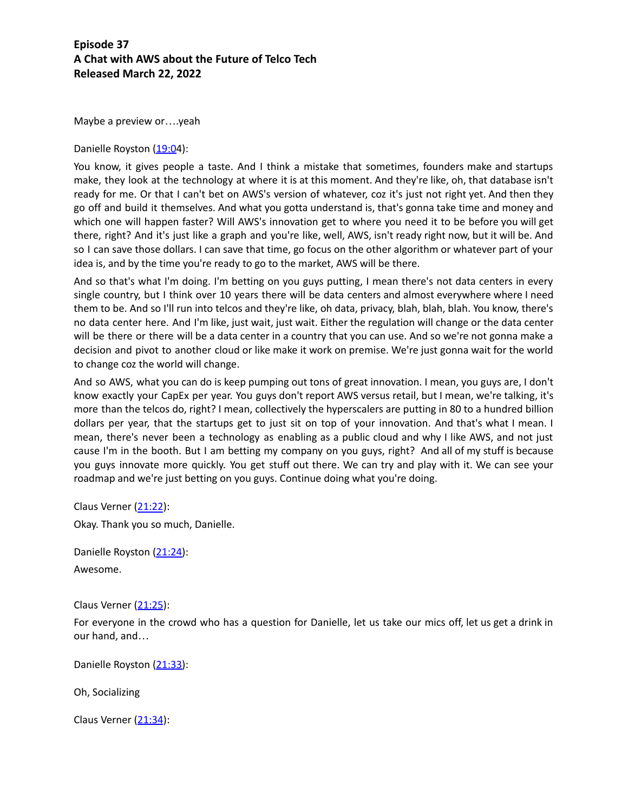Maybe a preview or….yeah

Danielle Royston (19:04):

You know, it gives people a taste. And I think a mistake that sometimes, founders make and startups make, they look at the technology at where it is at this moment. And they're like, oh, that database isn't ready for me. Or that I can't bet on AWS's version of whatever, coz it's just not right yet. And then they go off and build it themselves. And what you gotta understand is, that's gonna take time and money and which one will happen faster? Will AWS's innovation get to where you need it to be before you will get there, right? And it's just like a graph and you're like, well, AWS, isn't ready right now, but it will be. And so I can save those dollars. I can save that time, go focus on the other algorithm or whatever part of your idea is, and by the time you're ready to go to the market, AWS will be there.

And so that's what I'm doing. I'm betting on you guys putting, I mean there's not data centers in every single country, but I think over 10 years there will be data centers and almost everywhere where I need them to be. And so I'll run into telcos and they're like, oh data, privacy, blah, blah, blah. You know, there's no data center here. And I'm like, just wait, just wait. Either the regulation will change or the data center will be there or there will be a data center in a country that you can use. And so we're not gonna make a decision and pivot to another cloud or like make it work on premise. We're just gonna wait for the world to change coz the world will change.

And so AWS, what you can do is keep pumping out tons of great innovation. I mean, you guys are, I don't know exactly your CapEx per year. You guys don't report AWS versus retail, but I mean, we're talking, it's more than the telcos do, right? I mean, collectively the hyperscalers are putting in 80 to a hundred billion dollars per year, that the startups get to just sit on top of your innovation. And that's what I mean. I mean, there's never been a technology as enabling as a public cloud and why I like AWS, and not just cause I'm in the booth. But I am betting my company on you guys, right? And all of my stuff is because you guys innovate more quickly. You get stuff out there. We can try and play with it. We can see your roadmap and we're just betting on you guys. Continue doing what you're doing.

Claus Verner (21:22): Okay. Thank you so much, Danielle.

Danielle Royston (21:24): Awesome.

Claus Verner (21:25):

For everyone in the crowd who has a question for Danielle, let us take our mics off, let us get a drink in our hand, and…

Danielle Royston (21:33):

Oh, Socializing

Claus Verner  $(21:34)$ :